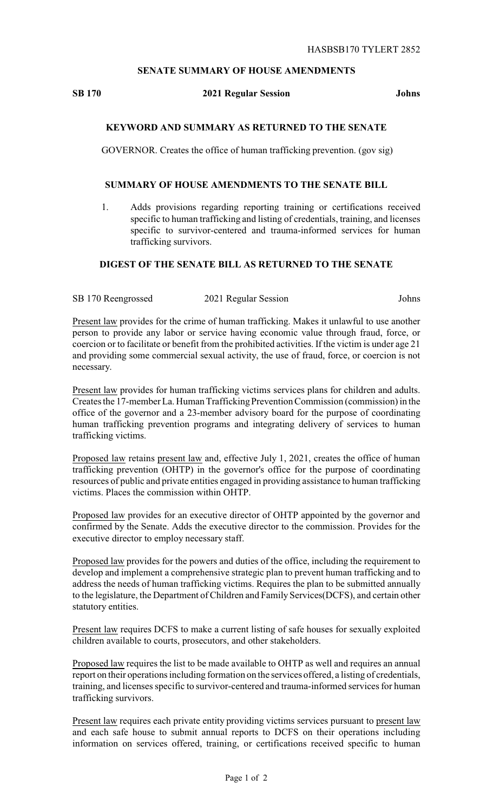## **SENATE SUMMARY OF HOUSE AMENDMENTS**

#### **SB 170 2021 Regular Session Johns**

## **KEYWORD AND SUMMARY AS RETURNED TO THE SENATE**

GOVERNOR. Creates the office of human trafficking prevention. (gov sig)

#### **SUMMARY OF HOUSE AMENDMENTS TO THE SENATE BILL**

1. Adds provisions regarding reporting training or certifications received specific to human trafficking and listing of credentials, training, and licenses specific to survivor-centered and trauma-informed services for human trafficking survivors.

# **DIGEST OF THE SENATE BILL AS RETURNED TO THE SENATE**

SB 170 Reengrossed 2021 Regular Session Johns

Present law provides for the crime of human trafficking. Makes it unlawful to use another person to provide any labor or service having economic value through fraud, force, or coercion or to facilitate or benefit from the prohibited activities. If the victim is under age 21 and providing some commercial sexual activity, the use of fraud, force, or coercion is not necessary.

Present law provides for human trafficking victims services plans for children and adults. Creates the 17-member La. Human Trafficking Prevention Commission (commission) in the office of the governor and a 23-member advisory board for the purpose of coordinating human trafficking prevention programs and integrating delivery of services to human trafficking victims.

Proposed law retains present law and, effective July 1, 2021, creates the office of human trafficking prevention (OHTP) in the governor's office for the purpose of coordinating resources of public and private entities engaged in providing assistance to human trafficking victims. Places the commission within OHTP.

Proposed law provides for an executive director of OHTP appointed by the governor and confirmed by the Senate. Adds the executive director to the commission. Provides for the executive director to employ necessary staff.

Proposed law provides for the powers and duties of the office, including the requirement to develop and implement a comprehensive strategic plan to prevent human trafficking and to address the needs of human trafficking victims. Requires the plan to be submitted annually to the legislature, the Department of Children and Family Services(DCFS), and certain other statutory entities.

Present law requires DCFS to make a current listing of safe houses for sexually exploited children available to courts, prosecutors, and other stakeholders.

Proposed law requires the list to be made available to OHTP as well and requires an annual report on their operations including formation on the services offered, a listing of credentials, training, and licenses specific to survivor-centered and trauma-informed services for human trafficking survivors.

Present law requires each private entity providing victims services pursuant to present law and each safe house to submit annual reports to DCFS on their operations including information on services offered, training, or certifications received specific to human